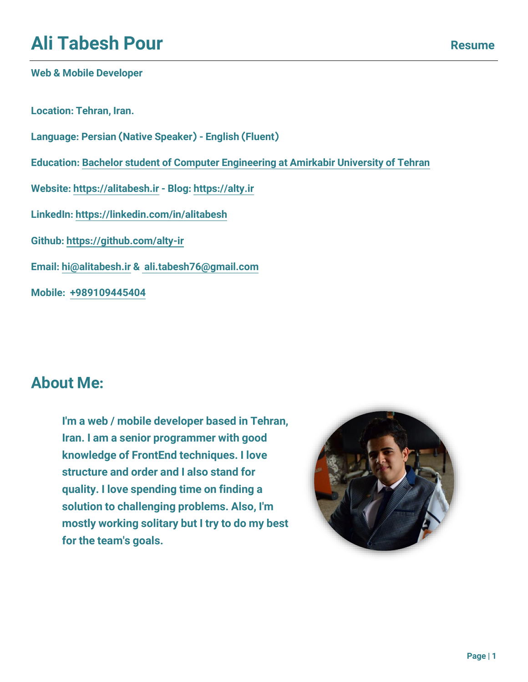# **Ali Tabesh Pour**

#### **Web & Mobile Developer**

**Location: Tehran, Iran.**

**Language: Persian (Native Speaker) - English (Fluent)**

**Education: Bachelor student [of Computer Engineering at Amirkabir University of Tehran](https://ce.aut.ac.ir/~9431005/)**

**Website: [https://alitabesh.ir](https://alitabesh.ir/) - Blog: [https://alty.ir](https://alty.ir/)**

**LinkedIn[: https://linkedin.com/in/alitabesh](https://linkedin.com/in/alitabesh)**

**Github:<https://github.com/alty-ir>**

**Email: [hi@alitabesh.ir](mailto:hi@alitabesh.ir) & [ali.tabesh76@gmail.com](mailto:ali.tabesh76@gmail.com)**

**Mobile: [+989109445404](tel:+989109445404)**

### **About Me:**

**I'm a web / mobile developer based in Tehran, Iran. I am a senior programmer with good knowledge of FrontEnd techniques. I love structure and order and I also stand for quality. I love spending time on finding a solution to challenging problems. Also, I'm mostly working solitary but I try to do my best for the team's goals.**

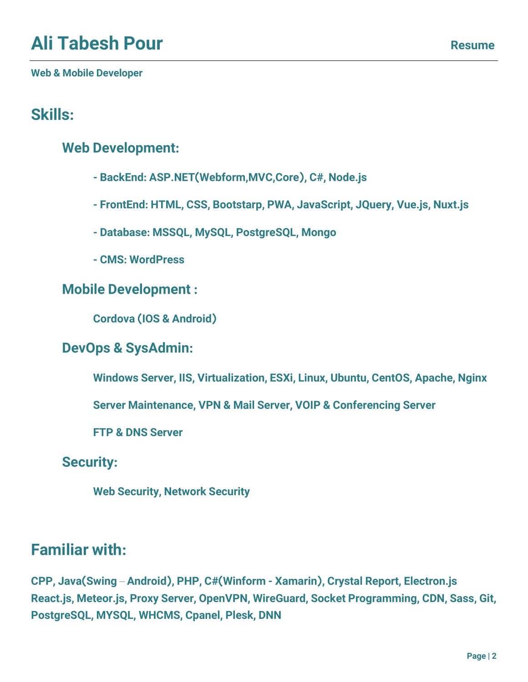**Web & Mobile Developer**

## **Skills:**

### **Web Development:**

- **- BackEnd: ASP.NET(Webform,MVC,Core), C#, Node.js**
- **- FrontEnd: HTML, CSS, Bootstarp, PWA, JavaScript, JQuery, Vue.js, Nuxt.js**
- **- Database: MSSQL, MySQL, PostgreSQL, Mongo**
- **- CMS: WordPress**

### **Mobile Development :**

**Cordova (IOS & Android)** 

### **DevOps & SysAdmin:**

**Windows Server, IIS, Virtualization, ESXi, Linux, Ubuntu, CentOS, Apache, Nginx**

**Server Maintenance, VPN & Mail Server, VOIP & Conferencing Server**

**FTP & DNS Server**

**Security:**

**Web Security, Network Security**

### **Familiar with:**

**CPP, Java(Swing** – **Android), PHP, C#(Winform - Xamarin), Crystal Report, Electron.js React.js, Meteor.js, Proxy Server, OpenVPN, WireGuard, Socket Programming, CDN, Sass, Git, PostgreSQL, MYSQL, WHCMS, Cpanel, Plesk, DNN**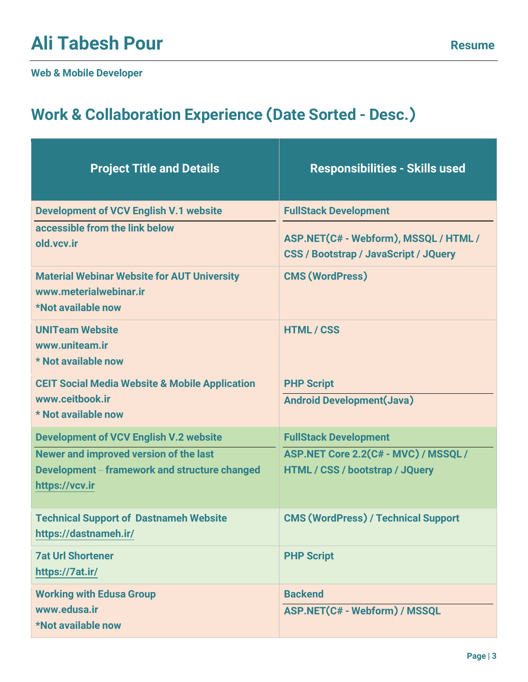# **Ali Tabesh Pour**<br>
Resume

#### **Web & Mobile Developer**

## **Work & Collaboration Experience (Date Sorted - Desc.)**

| <b>Project Title and Details</b>                                                                   | <b>Responsibilities - Skills used</b>                                                 |
|----------------------------------------------------------------------------------------------------|---------------------------------------------------------------------------------------|
| <b>Development of VCV English V.1 website</b>                                                      | <b>FullStack Development</b>                                                          |
| accessible from the link below<br>old.vcv.ir                                                       | ASP.NET(C# - Webform), MSSQL / HTML /<br><b>CSS / Bootstrap / JavaScript / JQuery</b> |
| <b>Material Webinar Website for AUT University</b><br>www.meterialwebinar.ir<br>*Not available now | <b>CMS (WordPress)</b>                                                                |
| <b>UNITeam Website</b><br>www.uniteam.ir<br>* Not available now                                    | <b>HTML/CSS</b>                                                                       |
| <b>CEIT Social Media Website &amp; Mobile Application</b>                                          | <b>PHP Script</b>                                                                     |
| www.ceitbook.ir<br>* Not available now                                                             | <b>Android Development(Java)</b>                                                      |
| <b>Development of VCV English V.2 website</b>                                                      | <b>FullStack Development</b>                                                          |
| Newer and improved version of the last                                                             | ASP.NET Core 2.2(C# - MVC) / MSSQL /                                                  |
| Development – framework and structure changed<br>https://vcv.ir                                    | HTML / CSS / bootstrap / JQuery                                                       |
| <b>Technical Support of Dastnameh Website</b><br>https://dastnameh.ir/                             | <b>CMS (WordPress) / Technical Support</b>                                            |
| <b>7at Url Shortener</b><br>https://7at.ir/                                                        | <b>PHP Script</b>                                                                     |
| <b>Working with Edusa Group</b>                                                                    | <b>Backend</b>                                                                        |
| www.edusa.ir<br><b>*Not available now</b>                                                          | ASP.NET(C# - Webform) / MSSQL                                                         |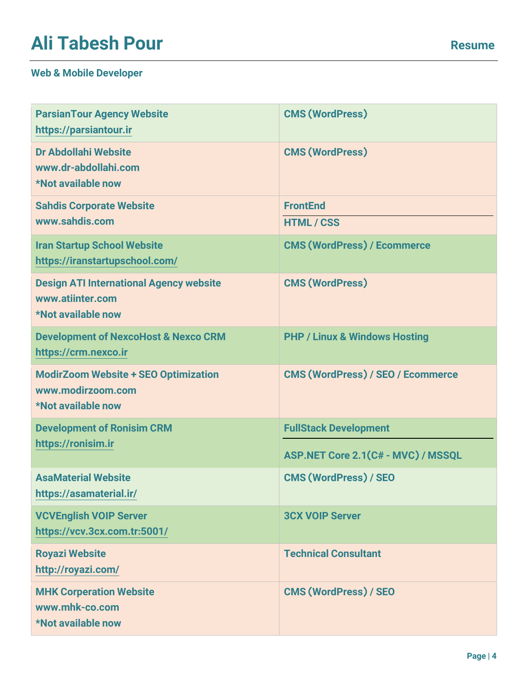# **Ali Tabesh Pour**<br>
Resume

| <b>ParsianTour Agency Website</b><br>https://parsiantour.ir                              | <b>CMS (WordPress)</b>                   |
|------------------------------------------------------------------------------------------|------------------------------------------|
| Dr Abdollahi Website<br>www.dr-abdollahi.com<br>*Not available now                       | <b>CMS (WordPress)</b>                   |
| <b>Sahdis Corporate Website</b><br>www.sahdis.com                                        | <b>FrontEnd</b><br><b>HTML/CSS</b>       |
| <b>Iran Startup School Website</b><br>https://iranstartupschool.com/                     | <b>CMS (WordPress) / Ecommerce</b>       |
| <b>Design ATI International Agency website</b><br>www.atiinter.com<br>*Not available now | <b>CMS (WordPress)</b>                   |
| <b>Development of NexcoHost &amp; Nexco CRM</b><br>https://crm.nexco.ir                  | <b>PHP / Linux &amp; Windows Hosting</b> |
| <b>ModirZoom Website + SEO Optimization</b><br>www.modirzoom.com<br>*Not available now   | <b>CMS (WordPress) / SEO / Ecommerce</b> |
| <b>Development of Ronisim CRM</b><br>https://ronisim.ir                                  | <b>FullStack Development</b>             |
|                                                                                          | ASP.NET Core 2.1(C# - MVC) / MSSQL       |
| <b>AsaMaterial Website</b><br>https://asamaterial.ir/                                    | <b>CMS (WordPress) / SEO</b>             |
| <b>VCVEnglish VOIP Server</b><br>https://vcv.3cx.com.tr:5001/                            | <b>3CX VOIP Server</b>                   |
| <b>Royazi Website</b><br>http://royazi.com/                                              | <b>Technical Consultant</b>              |
| <b>MHK Corperation Website</b><br>www.mhk-co.com<br>*Not available now                   | <b>CMS (WordPress) / SEO</b>             |